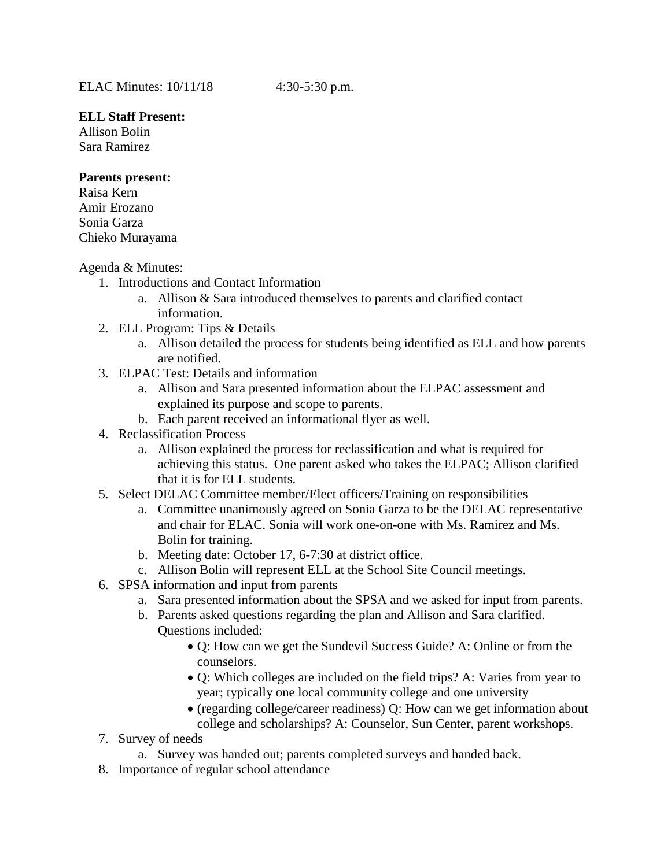## **ELL Staff Present:**

Allison Bolin Sara Ramirez

## **Parents present:**

Raisa Kern Amir Erozano Sonia Garza Chieko Murayama

## Agenda & Minutes:

- 1. Introductions and Contact Information
	- a. Allison & Sara introduced themselves to parents and clarified contact information.
- 2. ELL Program: Tips & Details
	- a. Allison detailed the process for students being identified as ELL and how parents are notified.
- 3. ELPAC Test: Details and information
	- a. Allison and Sara presented information about the ELPAC assessment and explained its purpose and scope to parents.
	- b. Each parent received an informational flyer as well.
- 4. Reclassification Process
	- a. Allison explained the process for reclassification and what is required for achieving this status. One parent asked who takes the ELPAC; Allison clarified that it is for ELL students.
- 5. Select DELAC Committee member/Elect officers/Training on responsibilities
	- a. Committee unanimously agreed on Sonia Garza to be the DELAC representative and chair for ELAC. Sonia will work one-on-one with Ms. Ramirez and Ms. Bolin for training.
	- b. Meeting date: October 17, 6-7:30 at district office.
	- c. Allison Bolin will represent ELL at the School Site Council meetings.
- 6. SPSA information and input from parents
	- a. Sara presented information about the SPSA and we asked for input from parents.
	- b. Parents asked questions regarding the plan and Allison and Sara clarified. Questions included:
		- Q: How can we get the Sundevil Success Guide? A: Online or from the counselors.
		- Q: Which colleges are included on the field trips? A: Varies from year to year; typically one local community college and one university
		- (regarding college/career readiness) Q: How can we get information about college and scholarships? A: Counselor, Sun Center, parent workshops.
- 7. Survey of needs
	- a. Survey was handed out; parents completed surveys and handed back.
- 8. Importance of regular school attendance